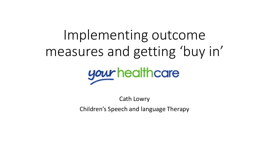# Implementing outcome measures and getting 'buy in'



Cath Lowry Children's Speech and language Therapy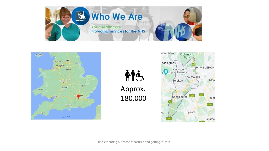

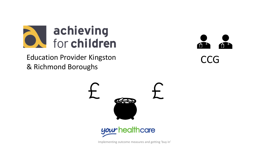

Education Provider Kingston & Richmond Boroughs





Implementing outcome measures and getting 'buy in'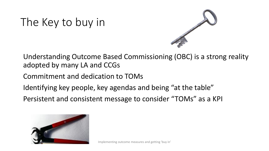# The Key to buy in



Understanding Outcome Based Commissioning (OBC) is a strong reality adopted by many LA and CCGs

Commitment and dedication to TOMs

Identifying key people, key agendas and being "at the table"

Persistent and consistent message to consider "TOMs" as a KPI

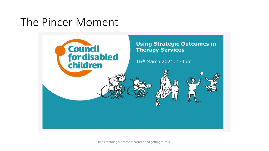## The Pincer Moment



Implementing outcome measures and getting 'buy in'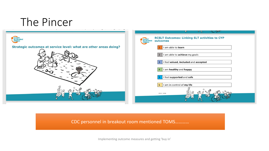

#### CDC personnel in breakout room mentioned TOMS…………

Implementing outcome measures and getting 'buy in'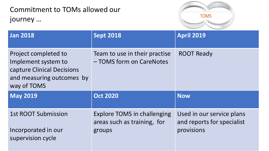Commitment to TOMs allowed our journey …



| <b>Jan 2018</b>                                                                                                       | <b>Sept 2018</b>                                          | <b>April 2019</b> |
|-----------------------------------------------------------------------------------------------------------------------|-----------------------------------------------------------|-------------------|
| Project completed to<br>Implement system to<br>capture Clinical Decisions<br>and measuring outcomes by<br>way of TOMS | Team to use in their practise<br>- TOMS form on CareNotes | <b>ROOT Ready</b> |
| <b>May 2019</b>                                                                                                       | <b>Oct 2020</b>                                           | <b>Now</b>        |
| <b>1st ROOT Submission</b>                                                                                            | <b>Explore TOMS in challenging</b>                        |                   |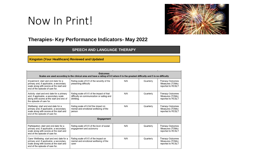### Now In Print!



#### **Therapies- Key Performance Indicators- May 2022**

#### **SPEECH AND LANGUAGE THERAPY**

**Kingston (Your Healthcare) Reviewed and Updated**

| <b>Outcomes</b><br>Scales are used according to the clinical area and have a rating of 0-5 where 0 is the greatest difficulty and 5 is no difficulty                |                                                                                                     |     |           |                                                          |  |
|---------------------------------------------------------------------------------------------------------------------------------------------------------------------|-----------------------------------------------------------------------------------------------------|-----|-----------|----------------------------------------------------------|--|
| Impairment: start and end date for a<br>primary and, if applicable, a secondary<br>scale along with scores at the start and<br>end of the episode of care for.      | Rating scale of 0-5 of the severity of the<br>presenting difficulty                                 | N/A | Quarterly | Therapy Outcomes<br>Measures (TOMs)<br>reported to RCSLT |  |
| Activity: start and end date for a primary<br>and, if applicable, a secondary scale<br>along with scores at the start and end of<br>the episode of care for.        | Rating scale of 0-5 of the impact of that<br>difficulty on communication or eating and<br>drinking. | N/A | Quarterly | Therapy Outcomes<br>Measures (TOMs)<br>reported to RCSLT |  |
| Wellbeing: start and end date for a<br>primary and, if applicable, a secondary<br>scale along with scores at the start and<br>end of the episode of care for.       | Rating scale of 0-5of the impact on<br>mental and emotional wellbeing of the<br>person              | N/A | Quarterly | Therapy Outcomes<br>Measures (TOMs)<br>reported to RCSLT |  |
| <b>Engagement</b>                                                                                                                                                   |                                                                                                     |     |           |                                                          |  |
| Participation: start and end date for a<br>primary and, if applicable, a secondary<br>scale along with scores at the start and<br>end of the episode of care for.   | Rating scale of 0-5 of the level of social<br>engagement and autonomy                               | N/A | Quarterly | Therapy Outcomes<br>Measures (TOMs)<br>reported to RCSLT |  |
| Carer Wellbeing: start and end date for a<br>primary and, if applicable, a secondary<br>scale along with scores at the start and<br>end of the episode of care for. | Rating scale of 0-5 of the impact on<br>mental and emotional wellbeing of the<br>carer              | N/A | Quarterly | Therapy Outcomes<br>Measures (TOMs)<br>reported to RCSLT |  |